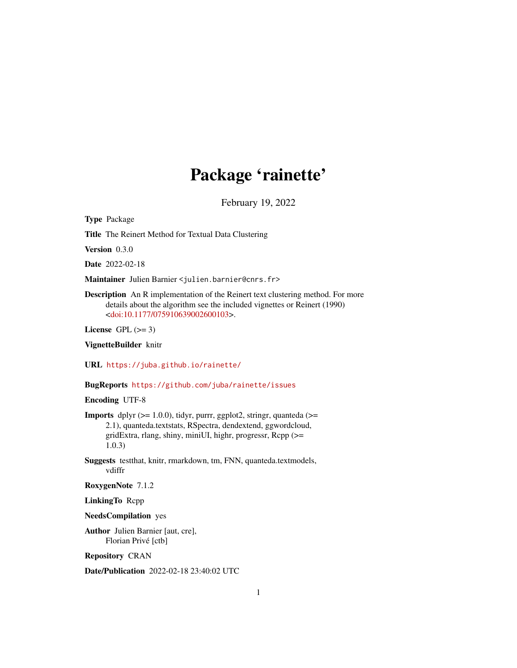# Package 'rainette'

February 19, 2022

<span id="page-0-0"></span>Type Package

Title The Reinert Method for Textual Data Clustering

Version 0.3.0

Date 2022-02-18

Maintainer Julien Barnier <julien.barnier@cnrs.fr>

Description An R implementation of the Reinert text clustering method. For more details about the algorithm see the included vignettes or Reinert (1990) [<doi:10.1177/075910639002600103>](https://doi.org/10.1177/075910639002600103).

License GPL  $(>= 3)$ 

VignetteBuilder knitr

URL <https://juba.github.io/rainette/>

BugReports <https://github.com/juba/rainette/issues>

Encoding UTF-8

**Imports** dplyr  $(>= 1.0.0)$ , tidyr, purrr, ggplot2, stringr, quanteda  $(>=$ 2.1), quanteda.textstats, RSpectra, dendextend, ggwordcloud, gridExtra, rlang, shiny, miniUI, highr, progressr, Rcpp (>= 1.0.3)

Suggests testthat, knitr, rmarkdown, tm, FNN, quanteda.textmodels, vdiffr

RoxygenNote 7.1.2

LinkingTo Rcpp

NeedsCompilation yes

Author Julien Barnier [aut, cre], Florian Privé [ctb]

Repository CRAN

Date/Publication 2022-02-18 23:40:02 UTC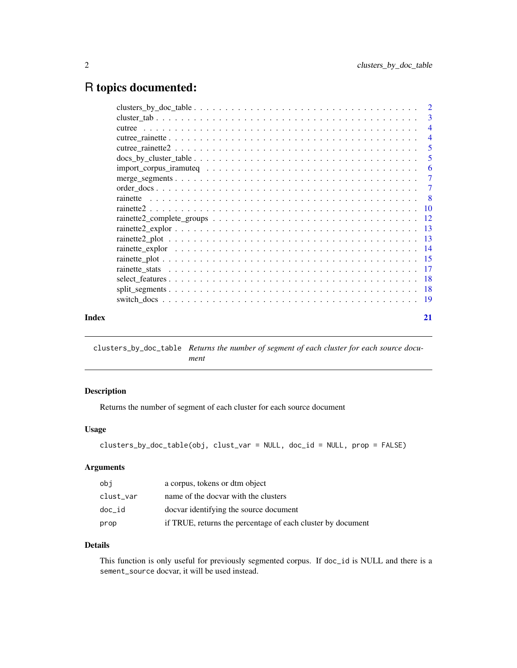# <span id="page-1-0"></span>R topics documented:

|       | $\overline{4}$ |
|-------|----------------|
|       | $\overline{4}$ |
|       |                |
|       | 5              |
|       | -6             |
|       |                |
|       |                |
|       |                |
|       |                |
|       |                |
|       |                |
|       |                |
|       |                |
|       |                |
|       |                |
|       |                |
|       |                |
|       |                |
| Index | 21             |

<span id="page-1-1"></span>clusters\_by\_doc\_table *Returns the number of segment of each cluster for each source document*

# Description

Returns the number of segment of each cluster for each source document

# Usage

```
clusters_by_doc_table(obj, clust_var = NULL, doc_id = NULL, prop = FALSE)
```
#### Arguments

| obi       | a corpus, tokens or dtm object                              |
|-----------|-------------------------------------------------------------|
| clust var | name of the docvar with the clusters                        |
| doc id    | docvar identifying the source document                      |
| prop      | if TRUE, returns the percentage of each cluster by document |

# Details

This function is only useful for previously segmented corpus. If doc\_id is NULL and there is a sement\_source docvar, it will be used instead.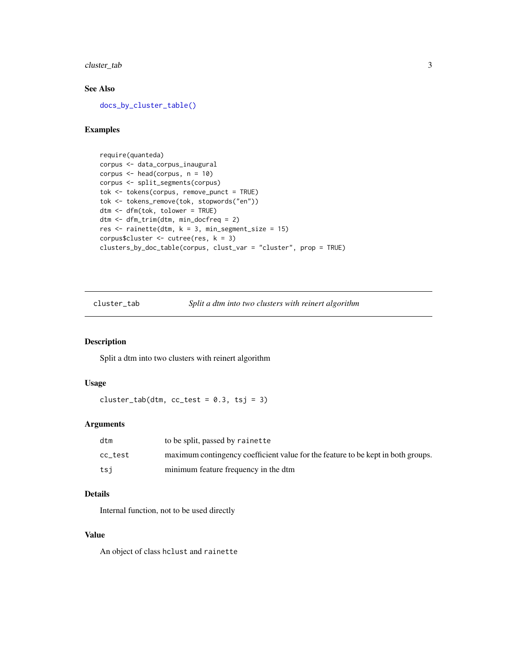<span id="page-2-0"></span>cluster\_tab 3

#### See Also

[docs\\_by\\_cluster\\_table\(\)](#page-4-1)

# Examples

```
require(quanteda)
corpus <- data_corpus_inaugural
corpus <- head(corpus, n = 10)
corpus <- split_segments(corpus)
tok <- tokens(corpus, remove_punct = TRUE)
tok <- tokens_remove(tok, stopwords("en"))
dtm <- dfm(tok, tolower = TRUE)
dtm <- dfm_trim(dtm, min_docfreq = 2)
res \le- rainette(dtm, k = 3, min_segment_size = 15)
corpus$cluster <- cutree(res, k = 3)
clusters_by_doc_table(corpus, clust_var = "cluster", prop = TRUE)
```
cluster\_tab *Split a dtm into two clusters with reinert algorithm*

# Description

Split a dtm into two clusters with reinert algorithm

#### Usage

 $cluster_table(dtm, cc_test = 0.3, tsj = 3)$ 

# Arguments

| dtm     | to be split, passed by rainette                                                  |
|---------|----------------------------------------------------------------------------------|
| cc test | maximum contingency coefficient value for the feature to be kept in both groups. |
| tsi     | minimum feature frequency in the dtm                                             |

#### Details

Internal function, not to be used directly

#### Value

An object of class hclust and rainette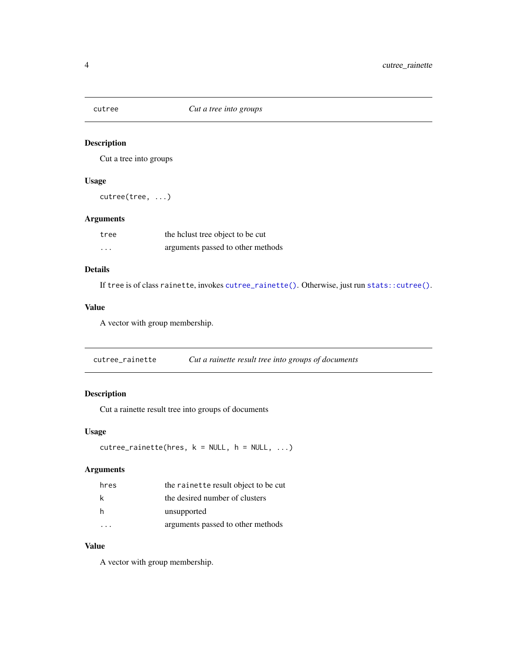<span id="page-3-0"></span>

# Description

Cut a tree into groups

# Usage

cutree(tree, ...)

#### Arguments

| tree     | the holast tree object to be cut  |
|----------|-----------------------------------|
| $\cdots$ | arguments passed to other methods |

# Details

If tree is of class rainette, invokes [cutree\\_rainette\(\)](#page-3-1). Otherwise, just run [stats::cutree\(\)](#page-0-0).

#### Value

A vector with group membership.

<span id="page-3-1"></span>cutree\_rainette *Cut a rainette result tree into groups of documents*

# Description

Cut a rainette result tree into groups of documents

# Usage

 $cutree\_rainette(hres, k = NULL, h = NULL, ...)$ 

# Arguments

| hres | the rainette result object to be cut |
|------|--------------------------------------|
| k    | the desired number of clusters       |
| h    | unsupported                          |
|      | arguments passed to other methods    |

# Value

A vector with group membership.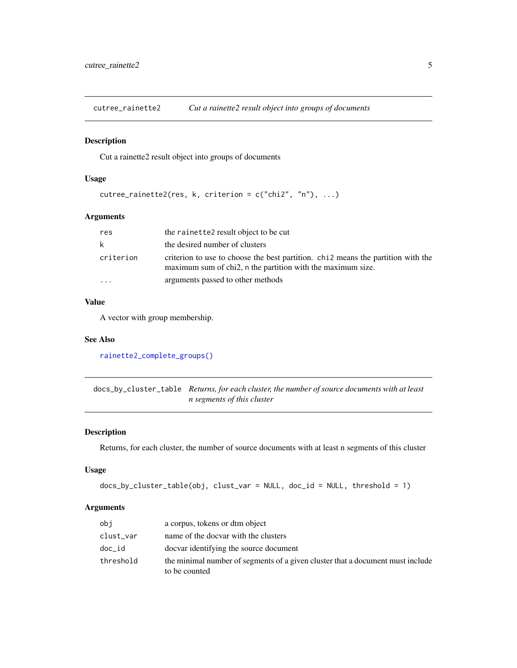<span id="page-4-2"></span><span id="page-4-0"></span>cutree\_rainette2 *Cut a rainette2 result object into groups of documents*

#### Description

Cut a rainette2 result object into groups of documents

#### Usage

```
cutree\_rainette2(res, k, criterion = c("chi2", "n"), ...
```
# Arguments

| res       | the rainette2 result object to be cut                                                                                                           |
|-----------|-------------------------------------------------------------------------------------------------------------------------------------------------|
| k         | the desired number of clusters                                                                                                                  |
| criterion | criterion to use to choose the best partition. chi2 means the partition with the<br>maximum sum of chi2, n the partition with the maximum size. |
| $\ddotsc$ | arguments passed to other methods                                                                                                               |

# Value

A vector with group membership.

### See Also

[rainette2\\_complete\\_groups\(\)](#page-11-1)

<span id="page-4-1"></span>docs\_by\_cluster\_table *Returns, for each cluster, the number of source documents with at least n segments of this cluster*

# Description

Returns, for each cluster, the number of source documents with at least n segments of this cluster

# Usage

```
docs_by_cluster_table(obj, clust_var = NULL, doc_id = NULL, threshold = 1)
```
## Arguments

| obi       | a corpus, tokens or dtm object                                                                  |
|-----------|-------------------------------------------------------------------------------------------------|
| clust_var | name of the docvar with the clusters                                                            |
| doc_id    | docvar identifying the source document                                                          |
| threshold | the minimal number of segments of a given cluster that a document must include<br>to be counted |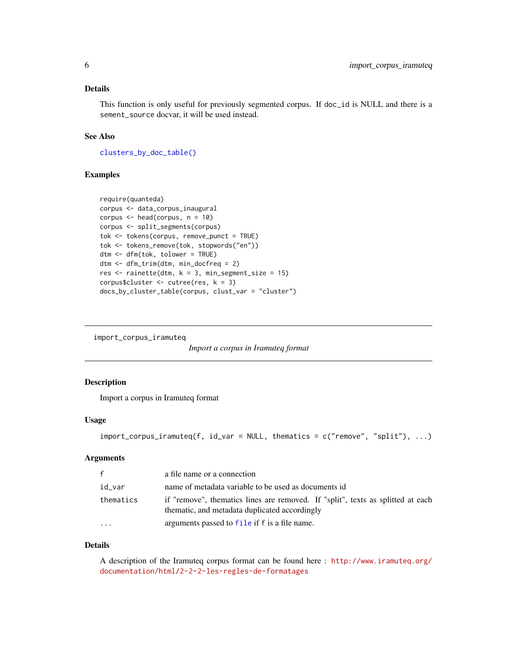#### <span id="page-5-0"></span>Details

This function is only useful for previously segmented corpus. If doc\_id is NULL and there is a sement\_source docvar, it will be used instead.

# See Also

[clusters\\_by\\_doc\\_table\(\)](#page-1-1)

#### Examples

```
require(quanteda)
corpus <- data_corpus_inaugural
corpus <- head(corpus, n = 10)
corpus <- split_segments(corpus)
tok <- tokens(corpus, remove_punct = TRUE)
tok <- tokens_remove(tok, stopwords("en"))
dtm <- dfm(tok, tolower = TRUE)
dtm <- dfm_trim(dtm, min_docfreq = 2)
res \le rainette(dtm, k = 3, min_segment_size = 15)
corpus$cluster <- cutree(res, k = 3)
docs_by_cluster_table(corpus, clust_var = "cluster")
```
import\_corpus\_iramuteq

*Import a corpus in Iramuteq format*

#### Description

Import a corpus in Iramuteq format

#### Usage

```
import_corpus_iramuteq(f, id_var = NULL, thematics = c("remove", "split"), ...)
```
# Arguments

| $\mathsf{f}$            | a file name or a connection                                                                                                      |
|-------------------------|----------------------------------------------------------------------------------------------------------------------------------|
| id var                  | name of metadata variable to be used as documents id                                                                             |
| thematics               | if "remove", thematics lines are removed. If "split", texts as splitted at each<br>thematic, and metadata duplicated accordingly |
| $\cdot$ $\cdot$ $\cdot$ | arguments passed to file if f is a file name.                                                                                    |

#### Details

A description of the Iramuteq corpus format can be found here : [http://www.iramuteq.org/](http://www.iramuteq.org/documentation/html/2-2-2-les-regles-de-formatages) [documentation/html/2-2-2-les-regles-de-formatages](http://www.iramuteq.org/documentation/html/2-2-2-les-regles-de-formatages)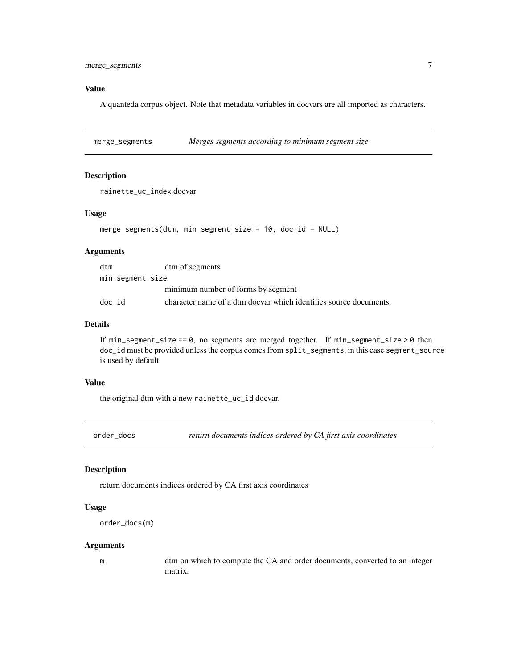# <span id="page-6-0"></span>Value

A quanteda corpus object. Note that metadata variables in docvars are all imported as characters.

merge\_segments *Merges segments according to minimum segment size*

#### Description

rainette\_uc\_index docvar

#### Usage

```
merge_segments(dtm, min_segment_size = 10, doc_id = NULL)
```
# Arguments

| dtm              | dtm of segments                                                   |
|------------------|-------------------------------------------------------------------|
| min_segment_size |                                                                   |
|                  | minimum number of forms by segment                                |
| doc id           | character name of a dtm docvar which identifies source documents. |

# Details

If  $min\_segment\_size == 0$ , no segments are merged together. If  $min\_segment\_size > 0$  then doc\_id must be provided unless the corpus comes from split\_segments, in this case segment\_source is used by default.

#### Value

the original dtm with a new rainette\_uc\_id docvar.

order\_docs *return documents indices ordered by CA first axis coordinates*

#### Description

return documents indices ordered by CA first axis coordinates

#### Usage

```
order_docs(m)
```
#### Arguments

m dtm on which to compute the CA and order documents, converted to an integer matrix.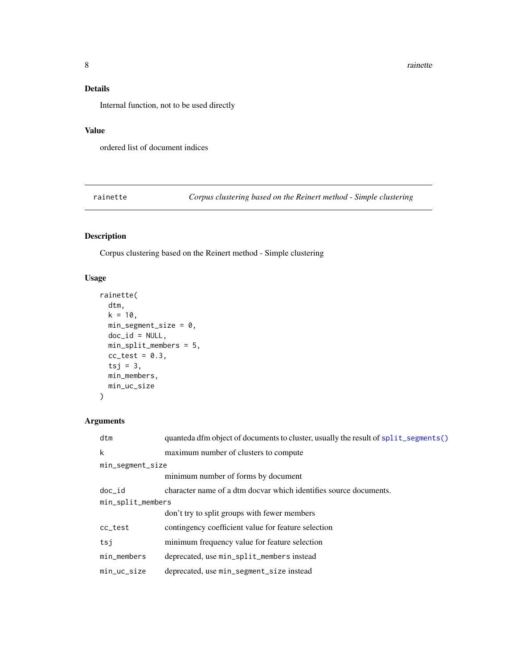# <span id="page-7-0"></span>Details

Internal function, not to be used directly

# Value

ordered list of document indices

<span id="page-7-1"></span>rainette *Corpus clustering based on the Reinert method - Simple clustering*

# Description

Corpus clustering based on the Reinert method - Simple clustering

# Usage

```
rainette(
  dtm,
 k = 10,
 min_segment_size = 0,
 doc_id = NULL,min_split_members = 5,
 cc\_test = 0.3,
  tsj = 3,
 min_members,
 min_uc_size
)
```
# Arguments

| dtm               | quanteda dfm object of documents to cluster, usually the result of split_segments() |  |
|-------------------|-------------------------------------------------------------------------------------|--|
| k                 | maximum number of clusters to compute                                               |  |
| min_segment_size  |                                                                                     |  |
|                   | minimum number of forms by document                                                 |  |
| $doc_id$          | character name of a dtm docvar which identifies source documents.                   |  |
| min_split_members |                                                                                     |  |
|                   | don't try to split groups with fewer members                                        |  |
| cc_test           | contingency coefficient value for feature selection                                 |  |
| tsj               | minimum frequency value for feature selection                                       |  |
| min_members       | deprecated, use min_split_members instead                                           |  |
| $min\_uc\_size$   | deprecated, use min_segment_size instead                                            |  |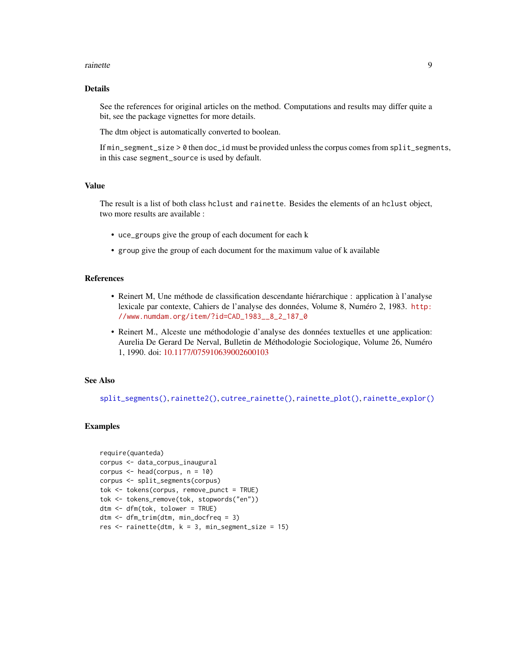#### <span id="page-8-0"></span>rainette **9**

#### Details

See the references for original articles on the method. Computations and results may differ quite a bit, see the package vignettes for more details.

The dtm object is automatically converted to boolean.

If min\_segment\_size > 0 then doc\_id must be provided unless the corpus comes from split\_segments, in this case segment\_source is used by default.

# Value

The result is a list of both class hclust and rainette. Besides the elements of an hclust object, two more results are available :

- uce\_groups give the group of each document for each k
- group give the group of each document for the maximum value of k available

# References

- Reinert M, Une méthode de classification descendante hiérarchique : application à l'analyse lexicale par contexte, Cahiers de l'analyse des données, Volume 8, Numéro 2, 1983. [http:](http://www.numdam.org/item/?id=CAD_1983__8_2_187_0) [//www.numdam.org/item/?id=CAD\\_1983\\_\\_8\\_2\\_187\\_0](http://www.numdam.org/item/?id=CAD_1983__8_2_187_0)
- Reinert M., Alceste une méthodologie d'analyse des données textuelles et une application: Aurelia De Gerard De Nerval, Bulletin de Méthodologie Sociologique, Volume 26, Numéro 1, 1990. doi: [10.1177/075910639002600103](https://doi.org/10.1177/075910639002600103)

#### See Also

[split\\_segments\(\)](#page-17-1), [rainette2\(\)](#page-9-1), [cutree\\_rainette\(\)](#page-3-1), [rainette\\_plot\(\)](#page-14-1), [rainette\\_explor\(\)](#page-13-1)

#### Examples

```
require(quanteda)
corpus <- data_corpus_inaugural
corpus \leq head(corpus, n = 10)
corpus <- split_segments(corpus)
tok <- tokens(corpus, remove_punct = TRUE)
tok <- tokens_remove(tok, stopwords("en"))
dtm <- dfm(tok, tolower = TRUE)
dtm <- dfm_trim(dtm, min_docfreq = 3)
res \le- rainette(dtm, k = 3, min_segment_size = 15)
```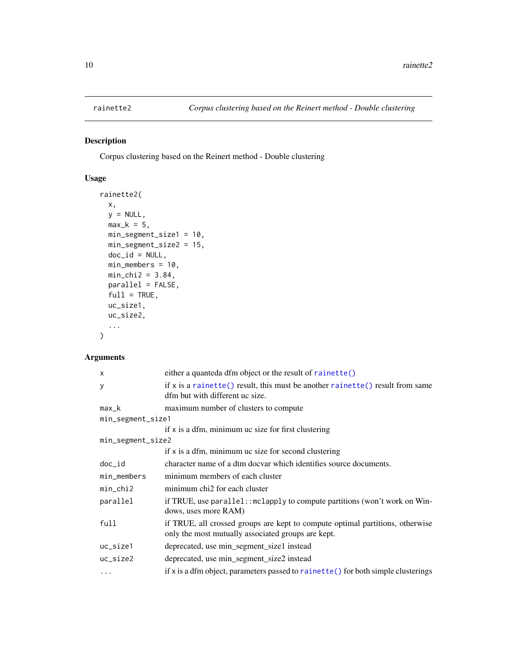# <span id="page-9-1"></span><span id="page-9-0"></span>Description

Corpus clustering based on the Reinert method - Double clustering

# Usage

```
rainette2(
 x,
 y = NULL,max_k = 5,
 min_segment_size1 = 10,
 min_segment_size2 = 15,
 doc_id = NULL,min_members = 10,
 min_{chi2} = 3.84,parallel = FALSE,
  full = TRUE,uc_size1,
 uc_size2,
  ...
\mathcal{L}
```
# Arguments

| $\mathsf{x}$      | either a quanteda dfm object or the result of rainette()                                                                            |
|-------------------|-------------------------------------------------------------------------------------------------------------------------------------|
| У                 | if $x$ is a rainette() result, this must be another rainette() result from same<br>dfm but with different uc size.                  |
| max_k             | maximum number of clusters to compute                                                                                               |
| min_segment_size1 |                                                                                                                                     |
|                   | if x is a dfm, minimum uc size for first clustering                                                                                 |
| min_segment_size2 |                                                                                                                                     |
|                   | if x is a dfm, minimum uc size for second clustering                                                                                |
| doc_id            | character name of a dtm docvar which identifies source documents.                                                                   |
| min_members       | minimum members of each cluster                                                                                                     |
| $min_{1chi2$      | minimum chi2 for each cluster                                                                                                       |
| parallel          | if TRUE, use parallel: : mclapply to compute partitions (won't work on Win-<br>dows, uses more RAM)                                 |
| full              | if TRUE, all crossed groups are kept to compute optimal partitions, otherwise<br>only the most mutually associated groups are kept. |
| uc_size1          | deprecated, use min_segment_size1 instead                                                                                           |
| $uc\_size2$       | deprecated, use min_segment_size2 instead                                                                                           |
| $\cdots$          | if x is a dfm object, parameters passed to $\mathsf{rainette}()$ for both simple clusterings                                        |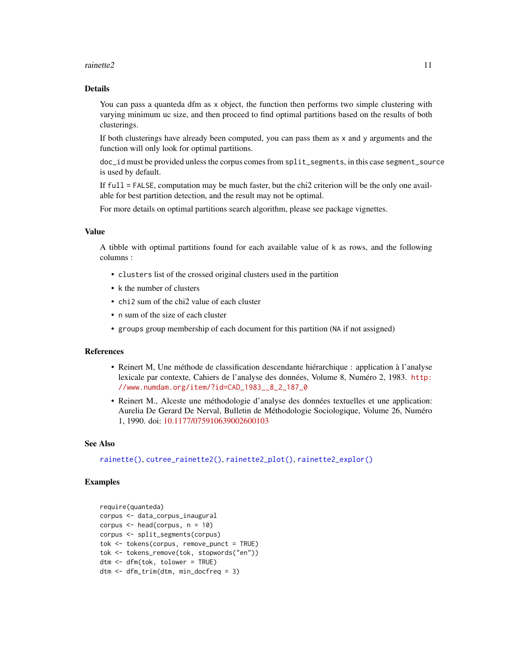#### <span id="page-10-0"></span>rainette2 11

#### Details

You can pass a quanteda dfm as x object, the function then performs two simple clustering with varying minimum uc size, and then proceed to find optimal partitions based on the results of both clusterings.

If both clusterings have already been computed, you can pass them as x and y arguments and the function will only look for optimal partitions.

doc\_id must be provided unless the corpus comes from split\_segments, in this case segment\_source is used by default.

If full = FALSE, computation may be much faster, but the chi2 criterion will be the only one available for best partition detection, and the result may not be optimal.

For more details on optimal partitions search algorithm, please see package vignettes.

# Value

A tibble with optimal partitions found for each available value of k as rows, and the following columns :

- clusters list of the crossed original clusters used in the partition
- k the number of clusters
- chi2 sum of the chi2 value of each cluster
- n sum of the size of each cluster
- groups group membership of each document for this partition (NA if not assigned)

#### References

- Reinert M, Une méthode de classification descendante hiérarchique : application à l'analyse lexicale par contexte, Cahiers de l'analyse des données, Volume 8, Numéro 2, 1983. [http:](http://www.numdam.org/item/?id=CAD_1983__8_2_187_0) [//www.numdam.org/item/?id=CAD\\_1983\\_\\_8\\_2\\_187\\_0](http://www.numdam.org/item/?id=CAD_1983__8_2_187_0)
- Reinert M., Alceste une méthodologie d'analyse des données textuelles et une application: Aurelia De Gerard De Nerval, Bulletin de Méthodologie Sociologique, Volume 26, Numéro 1, 1990. doi: [10.1177/075910639002600103](https://doi.org/10.1177/075910639002600103)

#### See Also

[rainette\(\)](#page-7-1), [cutree\\_rainette2\(\)](#page-4-2), [rainette2\\_plot\(\)](#page-12-1), [rainette2\\_explor\(\)](#page-12-2)

#### Examples

```
require(quanteda)
corpus <- data_corpus_inaugural
corpus \leq head(corpus, n = 10)
corpus <- split_segments(corpus)
tok <- tokens(corpus, remove_punct = TRUE)
tok <- tokens_remove(tok, stopwords("en"))
dtm <- dfm(tok, tolower = TRUE)
dtm <- dfm_trim(dtm, min_docfreq = 3)
```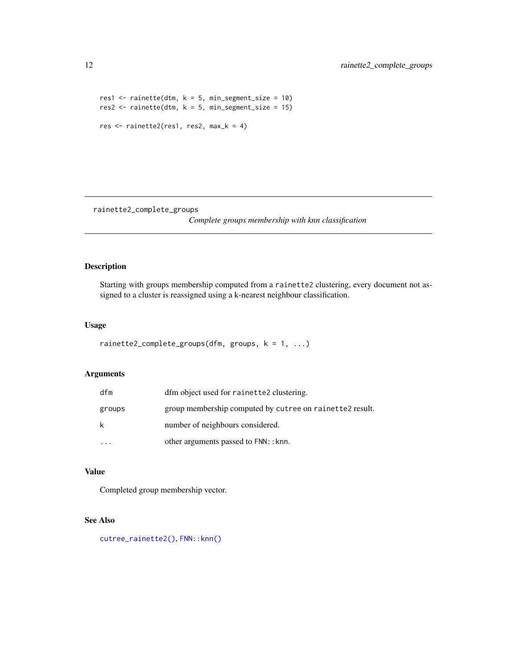```
res1 <- rainette(dtm, k = 5, min_segment_size = 10)
res2 <- rainette(dtm, k = 5, min_segment_size = 15)
res <- rainette2(res1, res2, max_k = 4)
```
<span id="page-11-1"></span>rainette2\_complete\_groups

*Complete groups membership with knn classification*

# Description

Starting with groups membership computed from a rainette2 clustering, every document not assigned to a cluster is reassigned using a k-nearest neighbour classification.

### Usage

```
rainette2_complete_groups(dfm, groups, k = 1, ...)
```
# Arguments

| dfm      | dfm object used for rainette2 clustering.                |
|----------|----------------------------------------------------------|
| groups   | group membership computed by cutree on rainette2 result. |
| k        | number of neighbours considered.                         |
| $\cdots$ | other arguments passed to FNN: : knn.                    |

#### Value

Completed group membership vector.

# See Also

[cutree\\_rainette2\(\)](#page-4-2), [FNN::knn\(\)](#page-0-0)

<span id="page-11-0"></span>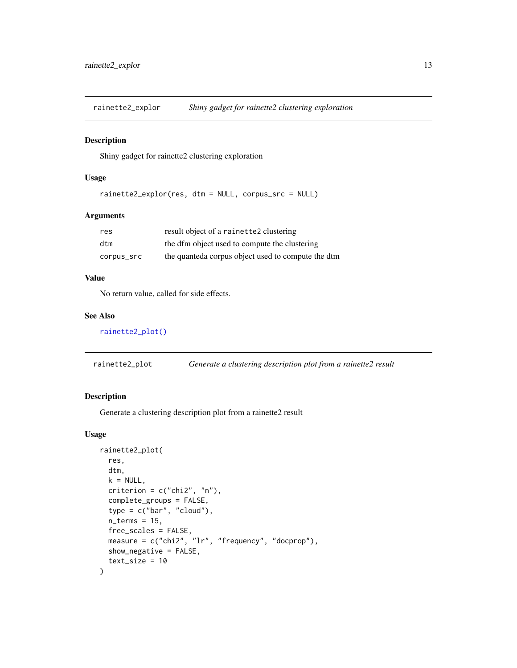<span id="page-12-2"></span><span id="page-12-0"></span>rainette2\_explor *Shiny gadget for rainette2 clustering exploration*

#### Description

Shiny gadget for rainette2 clustering exploration

#### Usage

rainette2\_explor(res, dtm = NULL, corpus\_src = NULL)

#### Arguments

| res        | result object of a rainette2 clustering            |
|------------|----------------------------------------------------|
| dtm        | the dfm object used to compute the clustering      |
| corpus_src | the quanteda corpus object used to compute the dtm |

## Value

No return value, called for side effects.

# See Also

[rainette2\\_plot\(\)](#page-12-1)

<span id="page-12-1"></span>

| rainette2_plot |  |  |  |  | Generate a clustering description plot from a rainette2 result |
|----------------|--|--|--|--|----------------------------------------------------------------|
|----------------|--|--|--|--|----------------------------------------------------------------|

# Description

Generate a clustering description plot from a rainette2 result

#### Usage

```
rainette2_plot(
  res,
  dtm,
 k = NULL,criterion = c("chi2", "n"),
  complete_groups = FALSE,
  type = c("bar", "cloud"),n_{\text{terms}} = 15,
  free_scales = FALSE,
 measure = c("chi2", "lr", "frequency", "docprop"),
  show_negative = FALSE,
  text_size = 10
\mathcal{E}
```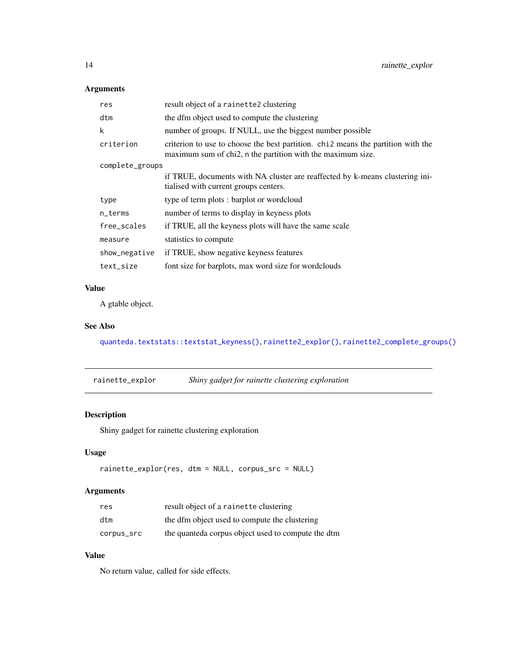# <span id="page-13-0"></span>Arguments

| res             | result object of a rainette2 clustering                                                                                                          |  |
|-----------------|--------------------------------------------------------------------------------------------------------------------------------------------------|--|
| dtm             | the dfm object used to compute the clustering                                                                                                    |  |
| k               | number of groups. If NULL, use the biggest number possible                                                                                       |  |
| criterion       | criterion to use to choose the best partition. chi 2 means the partition with the<br>maximum sum of chi2, n the partition with the maximum size. |  |
| complete_groups |                                                                                                                                                  |  |
|                 | if TRUE, documents with NA cluster are reaffected by k-means clustering ini-<br>tialised with current groups centers.                            |  |
| type            | type of term plots : barplot or wordcloud                                                                                                        |  |
| n_terms         | number of terms to display in keyness plots                                                                                                      |  |
| free_scales     | if TRUE, all the keyness plots will have the same scale                                                                                          |  |
| measure         | statistics to compute                                                                                                                            |  |
| show_negative   | if TRUE, show negative keyness features                                                                                                          |  |
| text_size       | font size for barplots, max word size for wordclouds                                                                                             |  |

# Value

A gtable object.

# See Also

[quanteda.textstats::textstat\\_keyness\(\)](#page-0-0), [rainette2\\_explor\(\)](#page-12-2), [rainette2\\_complete\\_groups\(\)](#page-11-1)

<span id="page-13-1"></span>

| rainette_explor | Shiny gadget for rainette clustering exploration |  |
|-----------------|--------------------------------------------------|--|
|-----------------|--------------------------------------------------|--|

# Description

Shiny gadget for rainette clustering exploration

# Usage

rainette\_explor(res, dtm = NULL, corpus\_src = NULL)

# Arguments

| res        | result object of a rainette clustering             |
|------------|----------------------------------------------------|
| dtm        | the dfm object used to compute the clustering      |
| corpus_src | the quanteda corpus object used to compute the dtm |

# Value

No return value, called for side effects.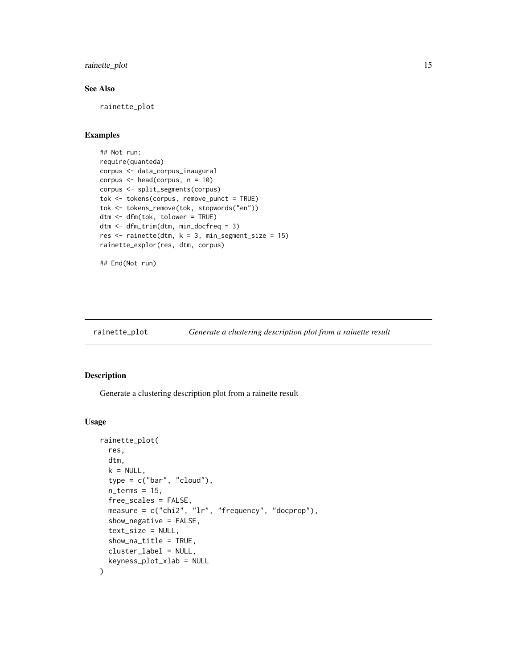<span id="page-14-0"></span>rainette\_plot 15

# See Also

rainette\_plot

# Examples

```
## Not run:
require(quanteda)
corpus <- data_corpus_inaugural
corpus <- head(corpus, n = 10)
corpus <- split_segments(corpus)
tok <- tokens(corpus, remove_punct = TRUE)
tok <- tokens_remove(tok, stopwords("en"))
dtm <- dfm(tok, tolower = TRUE)
dtm <- dfm_trim(dtm, min_docfreq = 3)
res \le- rainette(dtm, k = 3, min_segment_size = 15)
rainette_explor(res, dtm, corpus)
```

```
## End(Not run)
```
# <span id="page-14-1"></span>rainette\_plot *Generate a clustering description plot from a rainette result*

# Description

Generate a clustering description plot from a rainette result

#### Usage

```
rainette_plot(
  res,
  dtm,
 k = NULL,type = c("bar", "cloud"),n_{\text{terms}} = 15,
  free_scales = FALSE,
 measure = c("chi2", "lr", "frequency", "docprop"),
  show\_negative = FALSE,
  text_size = NULL,
  show_na_title = TRUE,
 cluster_label = NULL,
  keyness_plot_xlab = NULL
)
```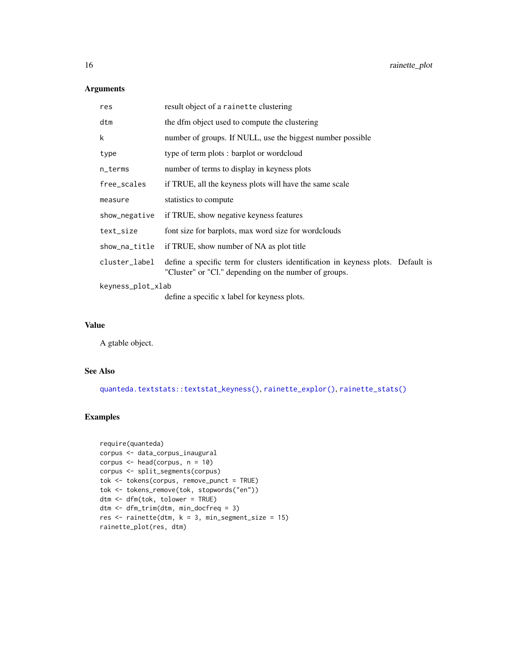# <span id="page-15-0"></span>Arguments

| result object of a rainette clustering                                                                                                   |
|------------------------------------------------------------------------------------------------------------------------------------------|
| the dfm object used to compute the clustering                                                                                            |
| number of groups. If NULL, use the biggest number possible                                                                               |
| type of term plots : barplot or wordcloud                                                                                                |
| number of terms to display in keyness plots                                                                                              |
| if TRUE, all the keyness plots will have the same scale                                                                                  |
| statistics to compute                                                                                                                    |
| if TRUE, show negative keyness features                                                                                                  |
| font size for barplots, max word size for wordclouds                                                                                     |
| if TRUE, show number of NA as plot title                                                                                                 |
| define a specific term for clusters identification in keyness plots. Default is<br>"Cluster" or "Cl." depending on the number of groups. |
| keyness_plot_xlab                                                                                                                        |
| define a specific x label for keyness plots.                                                                                             |
|                                                                                                                                          |

# Value

A gtable object.

# See Also

[quanteda.textstats::textstat\\_keyness\(\)](#page-0-0), [rainette\\_explor\(\)](#page-13-1), [rainette\\_stats\(\)](#page-16-1)

# Examples

```
require(quanteda)
corpus <- data_corpus_inaugural
corpus \leq head(corpus, n = 10)
corpus <- split_segments(corpus)
tok <- tokens(corpus, remove_punct = TRUE)
tok <- tokens_remove(tok, stopwords("en"))
dtm <- dfm(tok, tolower = TRUE)
dtm <- dfm_trim(dtm, min_docfreq = 3)
res \le rainette(dtm, k = 3, min_segment_size = 15)
rainette_plot(res, dtm)
```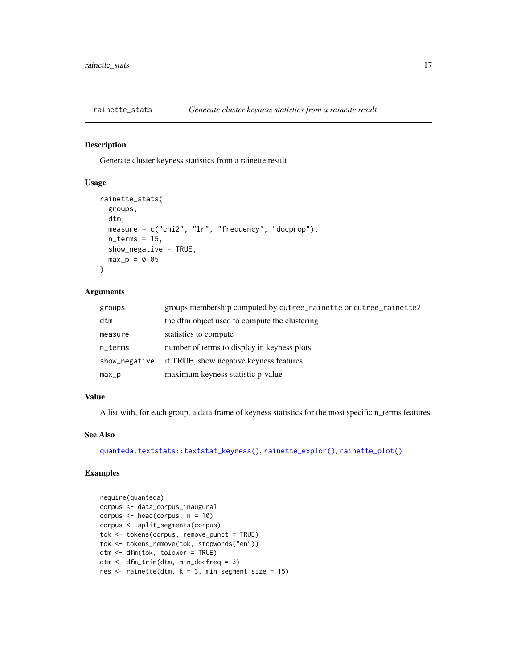<span id="page-16-1"></span><span id="page-16-0"></span>

#### Description

Generate cluster keyness statistics from a rainette result

#### Usage

```
rainette_stats(
  groups,
 dtm,
 measure = c("chi2", "lr", "frequency", "docprop"),
 n_{\text{terms}} = 15,
  show_negative = TRUE,
 max_p = 0.05\lambda
```
# Arguments

| groups        | groups membership computed by cutree_rainette or cutree_rainette2 |
|---------------|-------------------------------------------------------------------|
| dtm           | the dfm object used to compute the clustering                     |
| measure       | statistics to compute                                             |
| n_terms       | number of terms to display in keyness plots                       |
| show_negative | if TRUE, show negative keyness features                           |
| $max_p$       | maximum keyness statistic p-value                                 |

#### Value

A list with, for each group, a data.frame of keyness statistics for the most specific n\_terms features.

## See Also

[quanteda.textstats::textstat\\_keyness\(\)](#page-0-0), [rainette\\_explor\(\)](#page-13-1), [rainette\\_plot\(\)](#page-14-1)

# Examples

```
require(quanteda)
corpus <- data_corpus_inaugural
corpus \leq head(corpus, n = 10)
corpus <- split_segments(corpus)
tok <- tokens(corpus, remove_punct = TRUE)
tok <- tokens_remove(tok, stopwords("en"))
dtm <- dfm(tok, tolower = TRUE)
dtm <- dfm_trim(dtm, min_docfreq = 3)
res \le- rainette(dtm, k = 3, min_segment_size = 15)
```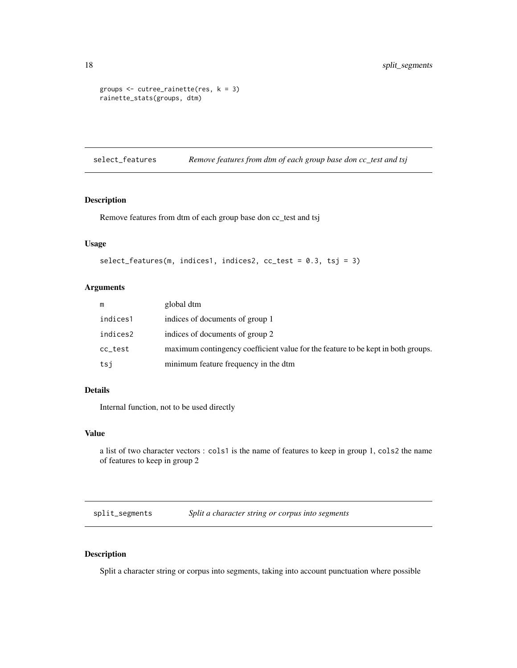```
groups \leq cutree_rainette(res, k = 3)
rainette_stats(groups, dtm)
```
select\_features *Remove features from dtm of each group base don cc\_test and tsj*

#### Description

Remove features from dtm of each group base don cc\_test and tsj

#### Usage

```
select_features(m, indices1, indices2, cc_test = 0.3, tsj = 3)
```
# Arguments

| m        | global dtm                                                                       |
|----------|----------------------------------------------------------------------------------|
| indices1 | indices of documents of group 1                                                  |
| indices2 | indices of documents of group 2                                                  |
| cc_test  | maximum contingency coefficient value for the feature to be kept in both groups. |
| tsi      | minimum feature frequency in the dtm                                             |

#### Details

Internal function, not to be used directly

### Value

```
a list of two character vectors : cols1 is the name of features to keep in group 1, cols2 the name
of features to keep in group 2
```
<span id="page-17-1"></span>split\_segments *Split a character string or corpus into segments*

# Description

Split a character string or corpus into segments, taking into account punctuation where possible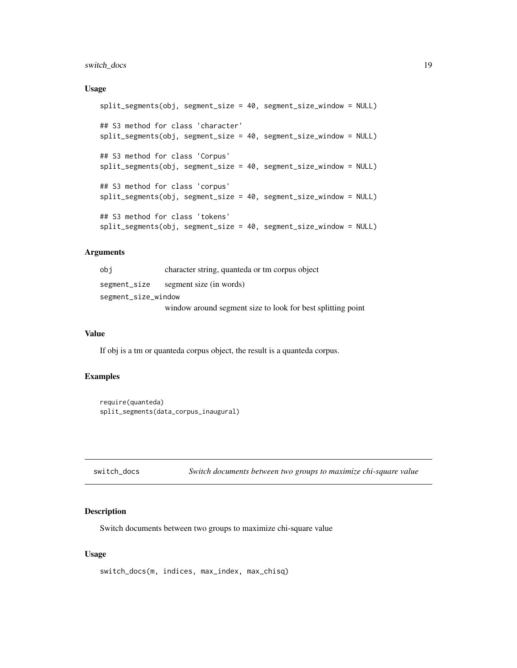# <span id="page-18-0"></span>switch\_docs 19

#### Usage

```
split_segments(obj, segment_size = 40, segment_size_window = NULL)
## S3 method for class 'character'
split_segments(obj, segment_size = 40, segment_size_window = NULL)
## S3 method for class 'Corpus'
split_segments(obj, segment_size = 40, segment_size_window = NULL)
## S3 method for class 'corpus'
split_segments(obj, segment_size = 40, segment_size_window = NULL)
## S3 method for class 'tokens'
split_segments(obj, segment_size = 40, segment_size_window = NULL)
```
#### Arguments

| obi                 | character string, quanteda or tm corpus object              |
|---------------------|-------------------------------------------------------------|
| segment_size        | segment size (in words)                                     |
| segment_size_window |                                                             |
|                     | window around segment size to look for best splitting point |

# Value

If obj is a tm or quanteda corpus object, the result is a quanteda corpus.

# Examples

```
require(quanteda)
split_segments(data_corpus_inaugural)
```

```
switch_docs Switch documents between two groups to maximize chi-square value
```
#### Description

Switch documents between two groups to maximize chi-square value

#### Usage

switch\_docs(m, indices, max\_index, max\_chisq)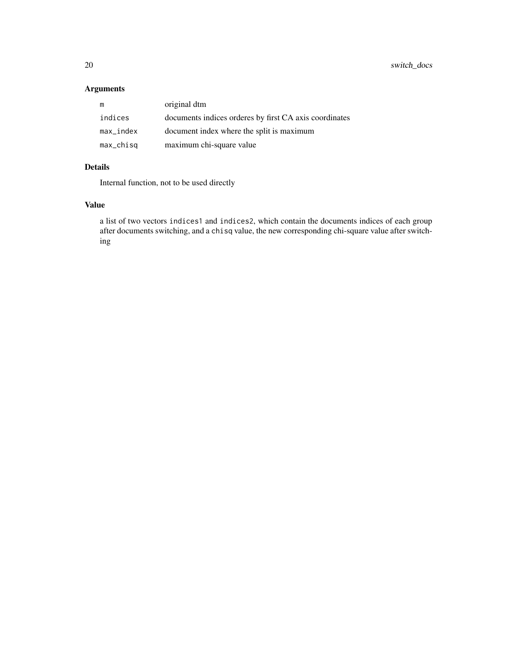# Arguments

| m                     | original dtm                                           |
|-----------------------|--------------------------------------------------------|
| indices               | documents indices orderes by first CA axis coordinates |
| max_index             | document index where the split is maximum              |
| $max_{-\text{chisq}}$ | maximum chi-square value                               |

# Details

Internal function, not to be used directly

# Value

a list of two vectors indices1 and indices2, which contain the documents indices of each group after documents switching, and a chisq value, the new corresponding chi-square value after switching